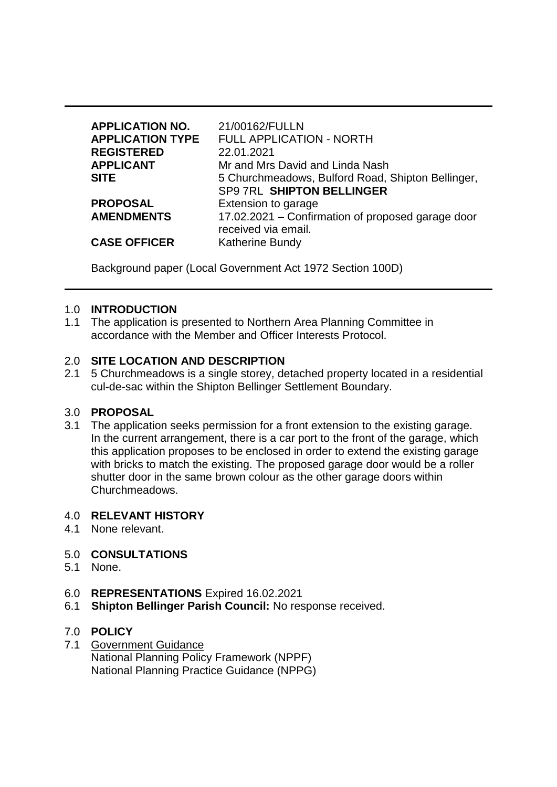| <b>APPLICATION NO.</b><br><b>APPLICATION TYPE</b><br><b>REGISTERED</b> | 21/00162/FULLN<br><b>FULL APPLICATION - NORTH</b><br>22.01.2021 |
|------------------------------------------------------------------------|-----------------------------------------------------------------|
| <b>APPLICANT</b>                                                       | Mr and Mrs David and Linda Nash                                 |
| <b>SITE</b>                                                            | 5 Churchmeadows, Bulford Road, Shipton Bellinger,               |
|                                                                        | SP9 7RL SHIPTON BELLINGER                                       |
| <b>PROPOSAL</b>                                                        | Extension to garage                                             |
| <b>AMENDMENTS</b>                                                      | 17.02.2021 – Confirmation of proposed garage door               |
|                                                                        | received via email.                                             |
| <b>CASE OFFICER</b>                                                    | <b>Katherine Bundy</b>                                          |

Background paper (Local Government Act 1972 Section 100D)

### 1.0 **INTRODUCTION**

1.1 The application is presented to Northern Area Planning Committee in accordance with the Member and Officer Interests Protocol.

### 2.0 **SITE LOCATION AND DESCRIPTION**

2.1 5 Churchmeadows is a single storey, detached property located in a residential cul-de-sac within the Shipton Bellinger Settlement Boundary.

#### 3.0 **PROPOSAL**

3.1 The application seeks permission for a front extension to the existing garage. In the current arrangement, there is a car port to the front of the garage, which this application proposes to be enclosed in order to extend the existing garage with bricks to match the existing. The proposed garage door would be a roller shutter door in the same brown colour as the other garage doors within Churchmeadows.

#### 4.0 **RELEVANT HISTORY**

4.1 None relevant.

### 5.0 **CONSULTATIONS**

- 5.1 None.
- 6.0 **REPRESENTATIONS** Expired 16.02.2021
- 6.1 **Shipton Bellinger Parish Council:** No response received.

# 7.0 **POLICY**

7.1 Government Guidance National Planning Policy Framework (NPPF) National Planning Practice Guidance (NPPG)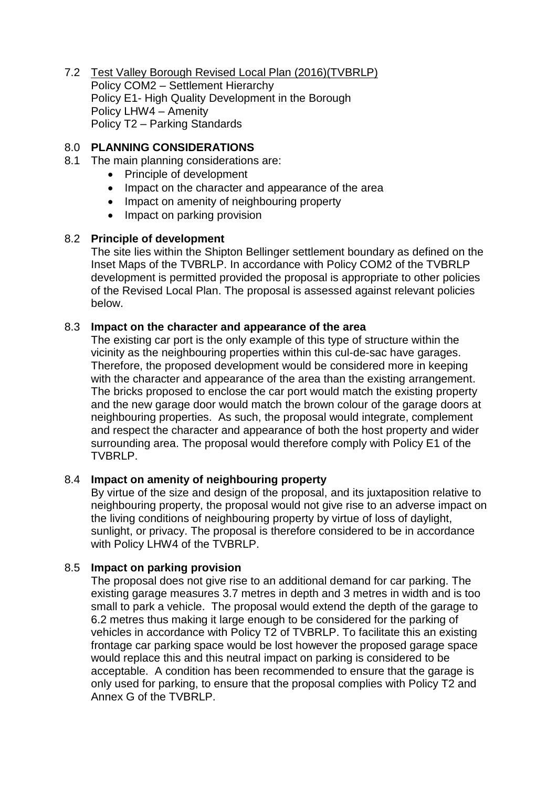7.2 Test Valley Borough Revised Local Plan (2016)(TVBRLP) Policy COM2 – Settlement Hierarchy Policy E1- High Quality Development in the Borough Policy LHW4 – Amenity Policy T2 – Parking Standards

### 8.0 **PLANNING CONSIDERATIONS**

- 8.1 The main planning considerations are:
	- Principle of development
	- Impact on the character and appearance of the area
	- Impact on amenity of neighbouring property
	- Impact on parking provision

### 8.2 **Principle of development**

The site lies within the Shipton Bellinger settlement boundary as defined on the Inset Maps of the TVBRLP. In accordance with Policy COM2 of the TVBRLP development is permitted provided the proposal is appropriate to other policies of the Revised Local Plan. The proposal is assessed against relevant policies below.

### 8.3 **Impact on the character and appearance of the area**

The existing car port is the only example of this type of structure within the vicinity as the neighbouring properties within this cul-de-sac have garages. Therefore, the proposed development would be considered more in keeping with the character and appearance of the area than the existing arrangement. The bricks proposed to enclose the car port would match the existing property and the new garage door would match the brown colour of the garage doors at neighbouring properties. As such, the proposal would integrate, complement and respect the character and appearance of both the host property and wider surrounding area. The proposal would therefore comply with Policy E1 of the TVBRLP.

### 8.4 **Impact on amenity of neighbouring property**

By virtue of the size and design of the proposal, and its juxtaposition relative to neighbouring property, the proposal would not give rise to an adverse impact on the living conditions of neighbouring property by virtue of loss of daylight, sunlight, or privacy. The proposal is therefore considered to be in accordance with Policy LHW4 of the TVBRLP.

### 8.5 **Impact on parking provision**

The proposal does not give rise to an additional demand for car parking. The existing garage measures 3.7 metres in depth and 3 metres in width and is too small to park a vehicle. The proposal would extend the depth of the garage to 6.2 metres thus making it large enough to be considered for the parking of vehicles in accordance with Policy T2 of TVBRLP. To facilitate this an existing frontage car parking space would be lost however the proposed garage space would replace this and this neutral impact on parking is considered to be acceptable. A condition has been recommended to ensure that the garage is only used for parking, to ensure that the proposal complies with Policy T2 and Annex G of the TVBRLP.